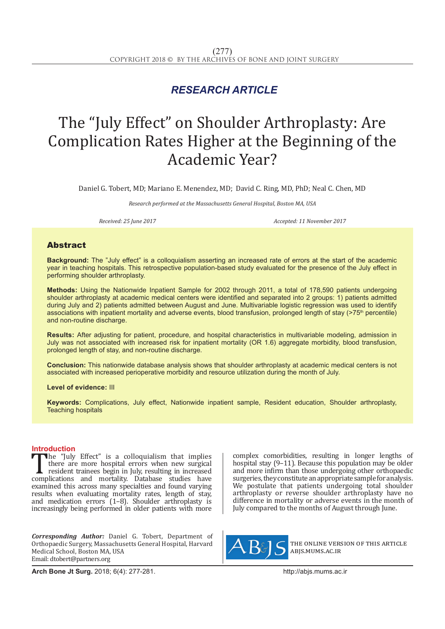## *RESEARCH ARTICLE*

# The "July Effect" on Shoulder Arthroplasty: Are Complication Rates Higher at the Beginning of the Academic Year?

Daniel G. Tobert, MD; Mariano E. Menendez, MD; David C. Ring, MD, PhD; Neal C. Chen, MD

*Research performed at the Massachusetts General Hospital, Boston MA, USA*

*Received: 25 June 2017 Accepted: 11 November 2017*

#### Abstract

**Background:** The "July effect" is a colloquialism asserting an increased rate of errors at the start of the academic year in teaching hospitals. This retrospective population-based study evaluated for the presence of the July effect in performing shoulder arthroplasty.

**Methods:** Using the Nationwide Inpatient Sample for 2002 through 2011, a total of 178,590 patients undergoing shoulder arthroplasty at academic medical centers were identified and separated into 2 groups: 1) patients admitted during July and 2) patients admitted between August and June. Multivariable logistic regression was used to identify associations with inpatient mortality and adverse events, blood transfusion, prolonged length of stay (>75<sup>th</sup> percentile) and non-routine discharge.

**Results:** After adjusting for patient, procedure, and hospital characteristics in multivariable modeling, admission in July was not associated with increased risk for inpatient mortality (OR 1.6) aggregate morbidity, blood transfusion, prolonged length of stay, and non-routine discharge.

**Conclusion:** This nationwide database analysis shows that shoulder arthroplasty at academic medical centers is not associated with increased perioperative morbidity and resource utilization during the month of July.

#### **Level of evidence:** III

**Keywords:** Complications, July effect, Nationwide inpatient sample, Resident education, Shoulder arthroplasty, Teaching hospitals

**Introduction**<br>The "July Effect" is a colloquialism that implies The "July Effect" is a colloquialism that implies<br>there are more hospital errors when new surgical<br>resident trainees begin in July, resulting in increased<br>complications and mortality. Database studies have<br>examined this ac there are more hospital errors when new surgical resident trainees begin in July, resulting in increased examined this across many specialties and found varying results when evaluating mortality rates, length of stay, and medication errors (1–8). Shoulder arthroplasty is increasingly being performed in older patients with more

*Corresponding Author:* Daniel G. Tobert, Department of Orthopaedic Surgery, Massachusetts General Hospital, Harvard Medical School, Boston MA, USA Email: dtobert@partners.org

complex comorbidities, resulting in longer lengths of hospital stay (9–11). Because this population may be older and more infirm than those undergoing other orthopaedic surgeries, theyconstituteanappropriatesampleforanalysis. We postulate that patients undergoing total shoulder arthroplasty or reverse shoulder arthroplasty have no difference in mortality or adverse events in the month of July compared to the months of August through June.



the online version of this article abjs.mums.ac.ir

**Arch Bone Jt Surg.** 2018; 6(4): 277-281.http://abjs.mums.ac.ir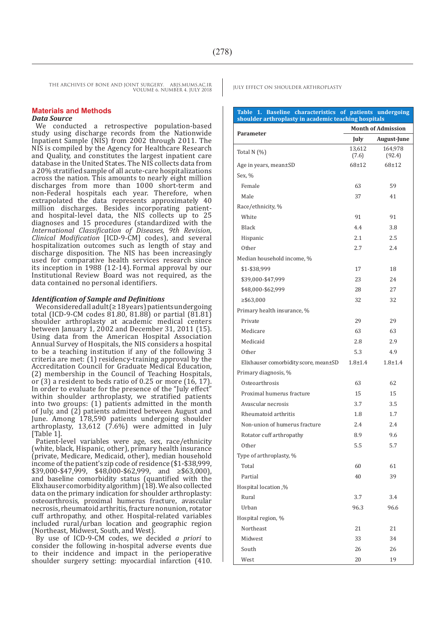THE ARCHIVES OF BONE AND JOINT SURGERY. ABJS.MUMS.AC.IR JULY EFFECT ON SHOULDER ARTHROPLASTY VOLUME 6. NUMBER 4. JULY 2018

#### **Materials and Methods**

#### *Data Source*

We conducted a retrospective population-based study using discharge records from the Nationwide Inpatient Sample (NIS) from 2002 through 2011. The NIS is compiled by the Agency for Healthcare Research and Quality, and constitutes the largest inpatient care database in the United States. The NIS collects data from a 20% stratified sample of all acute-care hospitalizations across the nation. This amounts to nearly eight million discharges from more than 1000 short-term and non-Federal hospitals each year. Therefore, when extrapolated the data represents approximately 40 million discharges. Besides incorporating patientand hospital-level data, the NIS collects up to 25 diagnoses and 15 procedures (standardized with the *International Classification of Diseases, 9th Revision, Clinical Modification* [ICD-9-CM] codes), and several hospitalization outcomes such as length of stay and discharge disposition. The NIS has been increasingly used for comparative health services research since its inception in 1988 (12-14). Formal approval by our Institutional Review Board was not required, as the data contained no personal identifiers.

#### *Identification of Sample and Definitions*

Weconsideredalladult (≥ 18years) patientsundergoing total (ICD-9-CM codes  $81.80, 81.88$ ) or partial  $(81.81)$ shoulder arthroplasty at academic medical centers between January 1, 2002 and December 31, 2011 (15). Using data from the American Hospital Association Annual Survey of Hospitals, the NIS considers a hospital to be a teaching institution if any of the following 3 criteria are met: (1) residency-training approval by the Accreditation Council for Graduate Medical Education, (2) membership in the Council of Teaching Hospitals, or (3) a resident to beds ratio of 0.25 or more (16, 17). In order to evaluate for the presence of the "July effect" within shoulder arthroplasty, we stratified patients into two groups: (1) patients admitted in the month of July, and (2) patients admitted between August and June. Among 178,590 patients undergoing shoulder arthroplasty, 13,612 (7.6%) were admitted in July [Table 1].

Patient-level variables were age, sex, race/ethnicity (white, black, Hispanic, other), primary health insurance (private, Medicare, Medicaid, other), median household income of the patient's zip code of residence (\$1-\$38,999, \$39,000-\$47,999, \$48,000-\$62,999, and ≥\$63,000), and baseline comorbidity status (quantified with the Elixhauser comorbidity algorithm)  $(18)$ . We also collected data on the primary indication for shoulder arthroplasty: osteoarthrosis, proximal humerus fracture, avascular necrosis, rheumatoid arthritis, fracture nonunion, rotator cuff arthropathy, and other. Hospital-related variables included rural/urban location and geographic region (Northeast, Midwest, South, and West).

By use of ICD-9-CM codes, we decided *a priori* to consider the following in-hospital adverse events due to their incidence and impact in the perioperative shoulder surgery setting: myocardial infarction (410.

### **Table 1. Baseline characteristics of patients undergoing shoulder arthroplasty in academic teaching hospitals Parameter Month of Admission July August-June** Total N (%) 13,612 (7.6) 164,978 (92.4) Age in years, mean±SD 68±12 68±12 Sex, % Female 59 Male  $\frac{37}{41}$ Race/ethnicity, % White 91 91 91 Black 4.4 3.8 Hispanic 2.1 2.5 Other  $2.7$  2.4 Median household income, % \$1-\$38,999 17 18 \$39,000-\$47,999 23 24 \$48,000-\$62,999 28 27 ≥\$63,000 32 32 Primary health insurance, % Private 29 29 Medicare 63 63 Medicaid 2.8 2.9 Other  $5.3$  4.9 Elixhauser comorbidity score, mean±SD 1.8±1.4 1.8±1.4 Primary diagnosis, % Osteoarthrosis 63 62 Proximal humerus fracture 15 15 15 Avascular necrosis 3.7 3.5 Rheumatoid arthritis 1.8 1.7 Non-union of humerus fracture 2.4 2.4 Rotator cuff arthropathy 8.9 8.9 9.6 Other  $5.5$   $5.7$ Type of arthroplasty, %  $\frac{1}{10}$  60 61 Partial 39 Hospital location ,% Rural 3.7 3.4 Urban 96.3 96.6 Hospital region, % Northeast 21 21 Midwest 33 34 South  $26$   $26$ West 20 19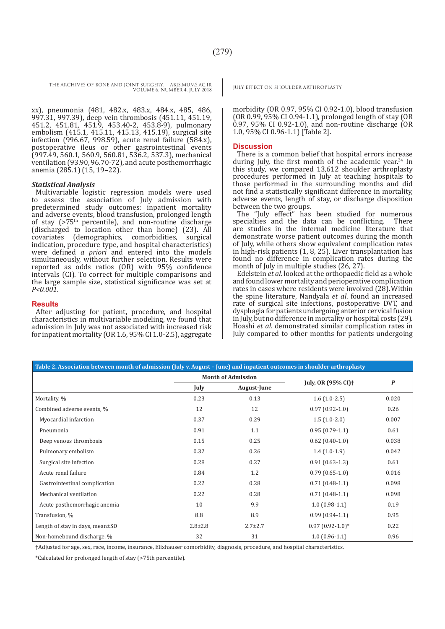THE ARCHIVES OF BONE AND JOINT SURGERY. ABJS.MUMS.AC.IR JULY EFFECT ON SHOULDER ARTHROPLASTY VOLUME 6. NUMBER 4. JULY 2018

xx), pneumonia (481, 482.x, 483.x, 484.x, 485, 486, 997.31, 997.39), deep vein thrombosis (451.11, 451.19, 451.2, 451.81, 451.9, 453.40-2, 453.8-9), pulmonary embolism (415.1, 415.11, 415.13, 415.19), surgical site infection (996.67, 998.59), acute renal failure (584.x), postoperative ileus or other gastrointestinal events (997.49, 560.1, 560.9, 560.81, 536.2, 537.3), mechanical ventilation (93.90, 96.70-72), and acute posthemorrhagic anemia (285.1) (15, 19–22).

#### *Statistical Analysis*

Multivariable logistic regression models were used to assess the association of July admission with predetermined study outcomes: inpatient mortality and adverse events, blood transfusion, prolonged length of stay ( $>75<sup>th</sup>$  percentile), and non-routine discharge (discharged to location other than home) (23). All covariates (demographics, comorbidities, surgical indication, procedure type, and hospital characteristics) were defined *a priori* and entered into the models simultaneously, without further selection. Results were reported as odds ratios (OR) with 95% confidence intervals (CI). To correct for multiple comparisons and the large sample size, statistical significance was set at *P<0.001*.

#### **Results**

After adjusting for patient, procedure, and hospital characteristics in multivariable modeling, we found that admission in July was not associated with increased risk for inpatient mortality (OR1.6, 95% CI 1.0-2.5), aggregate

morbidity (OR 0.97, 95% CI 0.92-1.0), blood transfusion (OR 0.99, 95% CI 0.94-1.1), prolonged length of stay (OR 0.97, 95% CI 0.92-1.0), and non-routine discharge (OR 1.0, 95% CI 0.96-1.1) [Table 2].

#### **Discussion**

There is a common belief that hospital errors increase during July, the first month of the academic year.<sup>24</sup> In this study, we compared 13,612 shoulder arthroplasty procedures performed in July at teaching hospitals to those performed in the surrounding months and did not find a statistically significant difference in mortality, adverse events, length of stay, or discharge disposition between the two groups.

The "July effect" has been studied for numerous specialties and the data can be conflicting. There are studies in the internal medicine literature that demonstrate worse patient outcomes during the month of July, while others show equivalent complication rates in high-risk patients (1, 8, 25). Liver transplantation has found no difference in complication rates during the month of July in multiple studies (26, 27).

Edelstein *et al.* looked at the orthopaedic field as a whole and found lower mortality and perioperative complication rates in cases where residents were involved (28).Within the spine literature, Nandyala *et al*. found an increased rate of surgical site infections, postoperative DVT, and dysphagia for patients undergoing anterior cervical fusion in July, but no difference in mortality or hospital costs (29). Hoashi *et al.* demonstrated similar complication rates in July compared to other months for patients undergoing

| Table 2. Association between month of admission (July v. August - June) and inpatient outcomes in shoulder arthroplasty |                           |               |                                |                  |
|-------------------------------------------------------------------------------------------------------------------------|---------------------------|---------------|--------------------------------|------------------|
|                                                                                                                         | <b>Month of Admission</b> |               | July, OR (95% CI) <sup>+</sup> | $\boldsymbol{P}$ |
|                                                                                                                         | July                      | August-June   |                                |                  |
| Mortality, %                                                                                                            | 0.23                      | 0.13          | $1.6(1.0-2.5)$                 | 0.020            |
| Combined adverse events, %                                                                                              | 12                        | 12            | $0.97(0.92-1.0)$               | 0.26             |
| Myocardial infarction                                                                                                   | 0.37                      | 0.29          | $1.5(1.0-2.0)$                 | 0.007            |
| Pneumonia                                                                                                               | 0.91                      | 1.1           | $0.95(0.79-1.1)$               | 0.61             |
| Deep venous thrombosis                                                                                                  | 0.15                      | 0.25          | $0.62$ (0.40-1.0)              | 0.038            |
| Pulmonary embolism                                                                                                      | 0.32                      | 0.26          | $1.4(1.0-1.9)$                 | 0.042            |
| Surgical site infection                                                                                                 | 0.28                      | 0.27          | $0.91(0.63-1.3)$               | 0.61             |
| Acute renal failure                                                                                                     | 0.84                      | 1.2           | $0.79(0.65-1.0)$               | 0.016            |
| Gastrointestinal complication                                                                                           | 0.22                      | 0.28          | $0.71(0.48-1.1)$               | 0.098            |
| Mechanical ventilation                                                                                                  | 0.22                      | 0.28          | $0.71(0.48-1.1)$               | 0.098            |
| Acute posthemorrhagic anemia                                                                                            | 10                        | 9.9           | $1.0(0.98-1.1)$                | 0.19             |
| Transfusion, %                                                                                                          | 8.8                       | 8.9           | $0.99(0.94-1.1)$               | 0.95             |
| Length of stay in days, mean $\pm$ SD                                                                                   | $2.8 \pm 2.8$             | $2.7 \pm 2.7$ | $0.97(0.92-1.0)*$              | 0.22             |
| Non-homebound discharge, %                                                                                              | 32                        | 31            | $1.0(0.96-1.1)$                | 0.96             |

†Adjusted for age, sex, race, income, insurance, Elixhauser comorbidity, diagnosis, procedure, and hospital characteristics.

\*Calculated for prolonged length of stay (>75th percentile).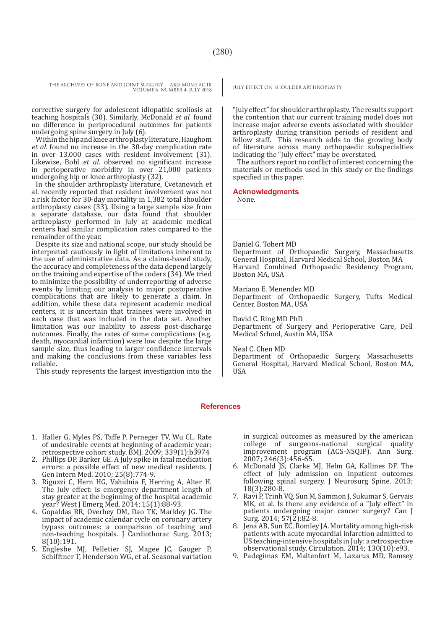THE ARCHIVES OF BONE AND JOINT SURGERY. ABJS.MUMS.AC.IR | JULY EFFECT ON SHOULDER ARTHROPLASTY VOLUME 6. NUMBER 4. JULY 2018

corrective surgery for adolescent idiopathic scoliosis at teaching hospitals (30). Similarly, McDonald *et al.* found no difference in periprocedural outcomes for patients undergoing spine surgery in July (6).

Withinthehipandkneearthroplastyliterature, Haughom *et al.* found no increase in the 30-day complication rate in over 13,000 cases with resident involvement (31). Likewise, Bohl *et al*. observed no significant increase in perioperative morbidity in over 21,000 patients undergoing hip or knee arthroplasty (32).

In the shoulder arthroplasty literature, Cvetanovich et al. recently reported that resident involvement was not a risk factor for 30-day mortality in 1,382 total shoulder arthroplasty cases (33). Using a large sample size from a separate database, our data found that shoulder arthroplasty performed in July at academic medical centers had similar complication rates compared to the

Despite its size and national scope, our study should be interpreted cautiously in light of limitations inherent to the use of administrative data. As a claims-based study, the accuracy and completeness of the data depend largely on the training and expertise of the coders (34). We tried to minimize the possibility of underreporting of adverse events by limiting our analysis to major postoperative complications that are likely to generate a claim. In addition, while these data represent academic medical centers, it is uncertain that trainees were involved in each case that was included in the data set. Another limitation was our inability to assess post-discharge outcomes. Finally, the rates of some complications (e.g. death, myocardial infarction) were low despite the large sample size, thus leading to larger confidence intervals and making the conclusions from these variables less reliable.

This study represents the largest investigation into the

"July effect" for shoulder arthroplasty. The results support the contention that our current training model does not increase major adverse events associated with shoulder arthroplasty during transition periods of resident and fellow staff. This research adds to the growing body of literature across many orthopaedic subspecialties indicating the "July effect" may be overstated.

The authors report no conflict of interest concerning the materials or methods used in this study or the findings specified in this paper.

**Acknowledgments**

None.

Daniel G. Tobert MD Department of Orthopaedic Surgery, Massachusetts General Hospital, Harvard Medical School, Boston MA Harvard Combined Orthopaedic Residency Program, Boston MA, USA

Mariano E. Menendez MD Department of Orthopaedic Surgery, Tufts Medical Center, Boston MA, USA

David C. Ring MD PhD Department of Surgery and Perioperative Care, Dell Medical School, Austin MA, USA

Neal C. Chen MD

Department of Orthopaedic Surgery, Massachusetts General Hospital, Harvard Medical School, Boston MA, **USA** 

#### **References**

- 1. Haller G, Myles PS, Taffe P, Perneger TV, Wu CL. Rate of undesirable events at beginning of academic year: retrospective cohort study. BMJ. 2009; 339(1):b3974
- 2. Phillips DP, Barker GE. A July spike in fatal medication errors: a possible effect of new medical residents. J Gen Intern Med. 2010; 25(8):774-9.
- 3. Riguzzi C, Hern HG, Vahidnia F, Herring A, Alter H. The July effect: is emergency department length of stay greater at the beginning of the hospital academic year? West J Emerg Med. 2014; 15(1):88-93.
- 4. Gopaldas RR, Overbey DM, Dao TK, Markley JG. The impact of academic calendar cycle on coronary artery bypass outcomes: a comparison of teaching and non-teaching hospitals. J Cardiothorac Surg. 2013; 8(10):191.
- 5. Englesbe MJ, Pelletier SJ, Magee JC, Gauger P, Schifftner T, Henderson WG, et al. Seasonal variation

in surgical outcomes as measured by the american college of surgeons-national surgical quality improvement program (ACS-NSQIP). Ann Surg. 2007; 246(3):456-65.

- 6. McDonald JS, Clarke MJ, Helm GA, Kallmes DF. The effect of July admission on inpatient outcomes following spinal surgery. J Neurosurg Spine. 2013; 18(3):280-8.
- 7. Ravi P, Trinh VQ, Sun M, Sammon J, Sukumar S, Gervais MK, et al. Is there any evidence of a "July effect" in patients undergoing major cancer surgery? Can J  $\text{Surg. 2014; 57}(\text{Z}):82-8.$
- 8. Jena AB, Sun EC, Romley JA. Mortality among high-risk patients with acute myocardial infarction admitted to US teaching-intensive hospitals in July: a retrospective observational study. Circulation. 2014; 130(10):e93.
- 9. Padegimas EM, Maltenfort M, Lazarus MD, Ramsey